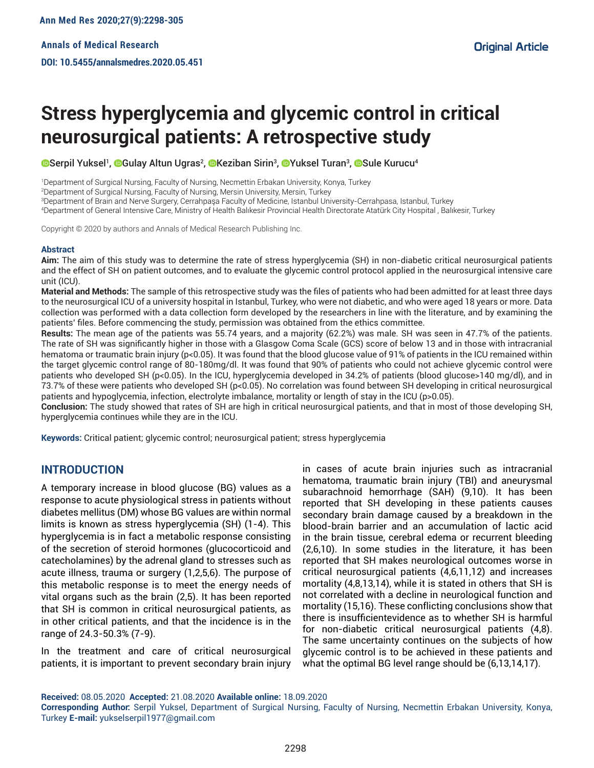# **Stress hyperglycemia and glycemic control in critical neurosurgical patients: A retrospective study**

Serpil [Y](http://orcid.org/0000-0001-7966-0607)uksel<sup>ı</sup>, OGulay Altun Ugras<sup>2</sup>, OKeziban [S](http://orcid.org/0000-0001-6742-1772)irin<sup>3</sup>, OYuksel Turan<sup>3</sup>, OSule Kurucu<sup>4</sup>

1 Department of Surgical Nursing, Faculty of Nursing, Necmettin Erbakan University, Konya, Turkey

2 Department of Surgical Nursing, Faculty of Nursing, Mersin University, Mersin, Turkey

3 Department of Brain and Nerve Surgery, Cerrahpaşa Faculty of Medicine, Istanbul University-Cerrahpasa, Istanbul, Turkey

4 Department of General Intensive Care, Ministry of Health Balıkesir Provincial Health Directorate Atatürk City Hospital , Balıkesir, Turkey

Copyright © 2020 by authors and Annals of Medical Research Publishing Inc.

#### **Abstract**

**Aim:** The aim of this study was to determine the rate of stress hyperglycemia (SH) in non-diabetic critical neurosurgical patients and the effect of SH on patient outcomes, and to evaluate the glycemic control protocol applied in the neurosurgical intensive care unit (ICU).

**Material and Methods:** The sample of this retrospective study was the files of patients who had been admitted for at least three days to the neurosurgical ICU of a university hospital in Istanbul, Turkey, who were not diabetic, and who were aged 18 years or more. Data collection was performed with a data collection form developed by the researchers in line with the literature, and by examining the patients' files. Before commencing the study, permission was obtained from the ethics committee.

**Results:** The mean age of the patients was 55.74 years, and a majority (62.2%) was male. SH was seen in 47.7% of the patients. The rate of SH was significantly higher in those with a Glasgow Coma Scale (GCS) score of below 13 and in those with intracranial hematoma or traumatic brain injury (p<0.05). It was found that the blood glucose value of 91% of patients in the ICU remained within the target glycemic control range of 80-180mg/dl. It was found that 90% of patients who could not achieve glycemic control were patients who developed SH (p<0.05). In the ICU, hyperglycemia developed in 34.2% of patients (blood glucose>140 mg/dl), and in 73.7% of these were patients who developed SH (p<0.05). No correlation was found between SH developing in critical neurosurgical patients and hypoglycemia, infection, electrolyte imbalance, mortality or length of stay in the ICU (p>0.05).

**Conclusion:** The study showed that rates of SH are high in critical neurosurgical patients, and that in most of those developing SH, hyperglycemia continues while they are in the ICU.

**Keywords:** Critical patient; glycemic control; neurosurgical patient; stress hyperglycemia

# **INTRODUCTION**

A temporary increase in blood glucose (BG) values as a response to acute physiological stress in patients without diabetes mellitus (DM) whose BG values are within normal limits is known as stress hyperglycemia (SH) (1-4). This hyperglycemia is in fact a metabolic response consisting of the secretion of steroid hormones (glucocorticoid and catecholamines) by the adrenal gland to stresses such as acute illness, trauma or surgery (1,2,5,6). The purpose of this metabolic response is to meet the energy needs of vital organs such as the brain (2,5). It has been reported that SH is common in critical neurosurgical patients, as in other critical patients, and that the incidence is in the range of 24.3-50.3% (7-9).

In the treatment and care of critical neurosurgical patients, it is important to prevent secondary brain injury

in cases of acute brain injuries such as intracranial hematoma, traumatic brain injury (TBI) and aneurysmal subarachnoid hemorrhage (SAH) (9,10). It has been reported that SH developing in these patients causes secondary brain damage caused by a breakdown in the blood-brain barrier and an accumulation of lactic acid in the brain tissue, cerebral edema or recurrent bleeding (2,6,10). In some studies in the literature, it has been reported that SH makes neurological outcomes worse in critical neurosurgical patients (4,6,11,12) and increases mortality (4,8,13,14), while it is stated in others that SH is not correlated with a decline in neurological function and mortality (15,16). These conflicting conclusions show that there is insufficientevidence as to whether SH is harmful for non-diabetic critical neurosurgical patients (4,8). The same uncertainty continues on the subjects of how glycemic control is to be achieved in these patients and what the optimal BG level range should be (6,13,14,17).

**Received:** 08.05.2020 **Accepted:** 21.08.2020 **Available online:** 18.09.2020

**Corresponding Author:** Serpil Yuksel, Department of Surgical Nursing, Faculty of Nursing, Necmettin Erbakan University, Konya, Turkey **E-mail:** yukselserpil1977@gmail.com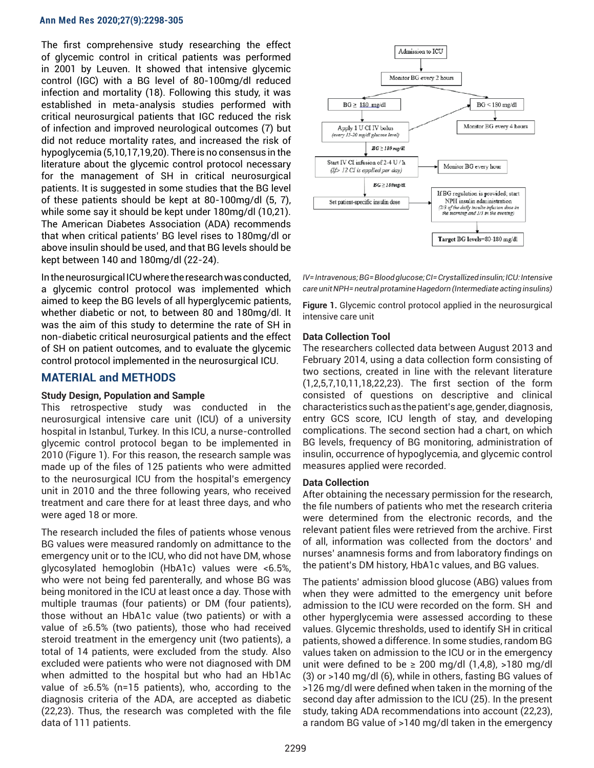The first comprehensive study researching the effect of glycemic control in critical patients was performed in 2001 by Leuven. It showed that intensive glycemic control (IGC) with a BG level of 80-100mg/dl reduced infection and mortality (18). Following this study, it was established in meta-analysis studies performed with critical neurosurgical patients that IGC reduced the risk of infection and improved neurological outcomes (7) but did not reduce mortality rates, and increased the risk of hypoglycemia (5,10,17,19,20). There is no consensus in the literature about the glycemic control protocol necessary for the management of SH in critical neurosurgical patients. It is suggested in some studies that the BG level of these patients should be kept at 80-100mg/dl (5, 7), while some say it should be kept under 180mg/dl (10,21). The American Diabetes Association (ADA) recommends that when critical patients' BG level rises to 180mg/dl or above insulin should be used, and that BG levels should be kept between 140 and 180mg/dl (22-24).

In the neurosurgical ICU where the research was conducted, a glycemic control protocol was implemented which aimed to keep the BG levels of all hyperglycemic patients, whether diabetic or not, to between 80 and 180mg/dl. It was the aim of this study to determine the rate of SH in non-diabetic critical neurosurgical patients and the effect of SH on patient outcomes, and to evaluate the glycemic control protocol implemented in the neurosurgical ICU.

## **MATERIAL and METHODS**

#### **Study Design, Population and Sample**

This retrospective study was conducted in the neurosurgical intensive care unit (ICU) of a university hospital in Istanbul, Turkey. In this ICU, a nurse-controlled glycemic control protocol began to be implemented in 2010 (Figure 1). For this reason, the research sample was made up of the files of 125 patients who were admitted to the neurosurgical ICU from the hospital's emergency unit in 2010 and the three following years, who received treatment and care there for at least three days, and who were aged 18 or more.

The research included the files of patients whose venous BG values were measured randomly on admittance to the emergency unit or to the ICU, who did not have DM, whose glycosylated hemoglobin (HbA1c) values were <6.5%, who were not being fed parenterally, and whose BG was being monitored in the ICU at least once a day. Those with multiple traumas (four patients) or DM (four patients), those without an HbA1c value (two patients) or with a value of ≥6.5% (two patients), those who had received steroid treatment in the emergency unit (two patients), a total of 14 patients, were excluded from the study. Also excluded were patients who were not diagnosed with DM when admitted to the hospital but who had an Hb1Ac value of ≥6.5% (n=15 patients), who, according to the diagnosis criteria of the ADA, are accepted as diabetic (22,23). Thus, the research was completed with the file data of 111 patients.





**Figure 1.** Glycemic control protocol applied in the neurosurgical intensive care unit

# **Data Collection Tool**

The researchers collected data between August 2013 and February 2014, using a data collection form consisting of two sections, created in line with the relevant literature (1,2,5,7,10,11,18,22,23). The first section of the form consisted of questions on descriptive and clinical characteristics such as the patient's age, gender, diagnosis, entry GCS score, ICU length of stay, and developing complications. The second section had a chart, on which BG levels, frequency of BG monitoring, administration of insulin, occurrence of hypoglycemia, and glycemic control measures applied were recorded.

#### **Data Collection**

After obtaining the necessary permission for the research, the file numbers of patients who met the research criteria were determined from the electronic records, and the relevant patient files were retrieved from the archive. First of all, information was collected from the doctors' and nurses' anamnesis forms and from laboratory findings on the patient's DM history, HbA1c values, and BG values.

The patients' admission blood glucose (ABG) values from when they were admitted to the emergency unit before admission to the ICU were recorded on the form. SH and other hyperglycemia were assessed according to these values. Glycemic thresholds, used to identify SH in critical patients, showed a difference. In some studies, random BG values taken on admission to the ICU or in the emergency unit were defined to be  $\geq 200$  mg/dl  $(1,4,8)$ ,  $>180$  mg/dl (3) or >140 mg/dl (6), while in others, fasting BG values of >126 mg/dl were defined when taken in the morning of the second day after admission to the ICU (25). In the present study, taking ADA recommendations into account (22,23), a random BG value of >140 mg/dl taken in the emergency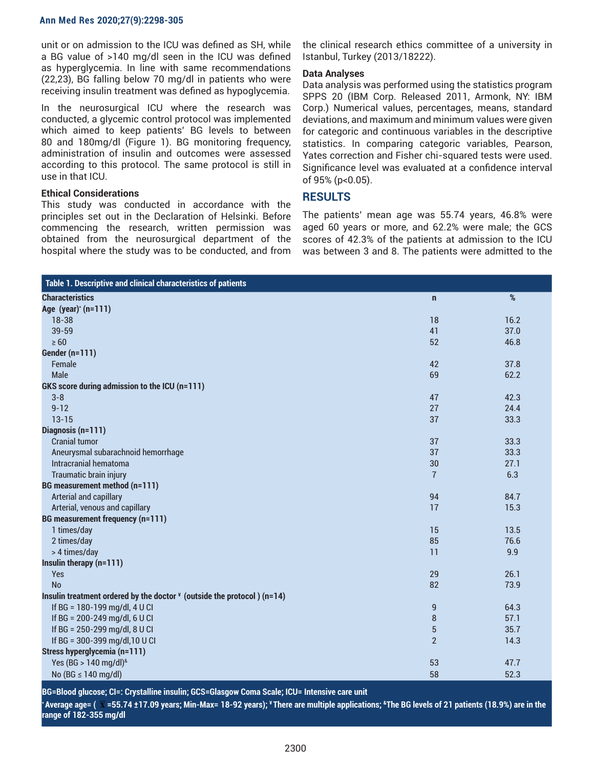unit or on admission to the ICU was defined as SH, while a BG value of >140 mg/dl seen in the ICU was defined as hyperglycemia. In line with same recommendations (22,23), BG falling below 70 mg/dl in patients who were receiving insulin treatment was defined as hypoglycemia.

In the neurosurgical ICU where the research was conducted, a glycemic control protocol was implemented which aimed to keep patients' BG levels to between 80 and 180mg/dl (Figure 1). BG monitoring frequency, administration of insulin and outcomes were assessed according to this protocol. The same protocol is still in use in that ICU.

#### **Ethical Considerations**

This study was conducted in accordance with the principles set out in the Declaration of Helsinki. Before commencing the research, written permission was obtained from the neurosurgical department of the hospital where the study was to be conducted, and from

the clinical research ethics committee of a university in Istanbul, Turkey (2013/18222).

#### **Data Analyses**

Data analysis was performed using the statistics program SPPS 20 (IBM Corp. Released 2011, Armonk, NY: IBM Corp.) Numerical values, percentages, means, standard deviations, and maximum and minimum values were given for categoric and continuous variables in the descriptive statistics. In comparing categoric variables, Pearson, Yates correction and Fisher chi-squared tests were used. Significance level was evaluated at a confidence interval of 95% (p<0.05).

# **RESULTS**

The patients' mean age was 55.74 years, 46.8% were aged 60 years or more, and 62.2% were male; the GCS scores of 42.3% of the patients at admission to the ICU was between 3 and 8. The patients were admitted to the

| Table 1. Descriptive and clinical characteristics of patients             |                |      |
|---------------------------------------------------------------------------|----------------|------|
| <b>Characteristics</b>                                                    | $\mathbf n$    | $\%$ |
| Age $(year)^*(n=111)$                                                     |                |      |
| $18 - 38$                                                                 | 18             | 16.2 |
| 39-59                                                                     | 41             | 37.0 |
| $\geq 60$                                                                 | 52             | 46.8 |
| Gender (n=111)                                                            |                |      |
| Female                                                                    | 42             | 37.8 |
| Male                                                                      | 69             | 62.2 |
| GKS score during admission to the ICU (n=111)                             |                |      |
| $3 - 8$                                                                   | 47             | 42.3 |
| $9 - 12$                                                                  | 27             | 24.4 |
| $13 - 15$                                                                 | 37             | 33.3 |
| Diagnosis (n=111)                                                         |                |      |
| <b>Cranial tumor</b>                                                      | 37             | 33.3 |
| Aneurysmal subarachnoid hemorrhage                                        | 37             | 33.3 |
| Intracranial hematoma                                                     | 30             | 27.1 |
| Traumatic brain injury                                                    | $\overline{7}$ | 6.3  |
| BG measurement method (n=111)                                             |                |      |
| Arterial and capillary                                                    | 94             | 84.7 |
| Arterial, venous and capillary                                            | 17             | 15.3 |
| <b>BG measurement frequency (n=111)</b>                                   |                |      |
| 1 times/day                                                               | 15             | 13.5 |
| 2 times/day                                                               | 85             | 76.6 |
| > 4 times/day                                                             | 11             | 9.9  |
| Insulin therapy (n=111)                                                   |                |      |
| Yes                                                                       | 29             | 26.1 |
| <b>No</b>                                                                 | 82             | 73.9 |
| Insulin treatment ordered by the doctor $*$ (outside the protocol) (n=14) |                |      |
| If BG = 180-199 mg/dl, 4 U Cl                                             | 9              | 64.3 |
| If BG = 200-249 mg/dl, 6 U Cl                                             | $\bf 8$        | 57.1 |
| If BG = 250-299 mg/dl, 8 U CI                                             | $\overline{5}$ | 35.7 |
| If BG = 300-399 mg/dl, 10 U Cl                                            | $\overline{2}$ | 14.3 |
| Stress hyperglycemia (n=111)                                              |                |      |
| Yes (BG > 140 mg/dl) <sup>&amp;</sup>                                     | 53             | 47.7 |
| No (BG ≤ 140 mg/dl)                                                       | 58             | 52.3 |

**BG=Blood glucose; CI=: Crystalline insulin; GCS=Glasgow Coma Scale; ICU= Intensive care unit**

**\* Average age= ( x =55.74 ±17.09 years; Min-Max= 18-92 years); ¥ There are multiple applications; &The BG levels of 21 patients (18.9%) are in the range of 182-355 mg/dl**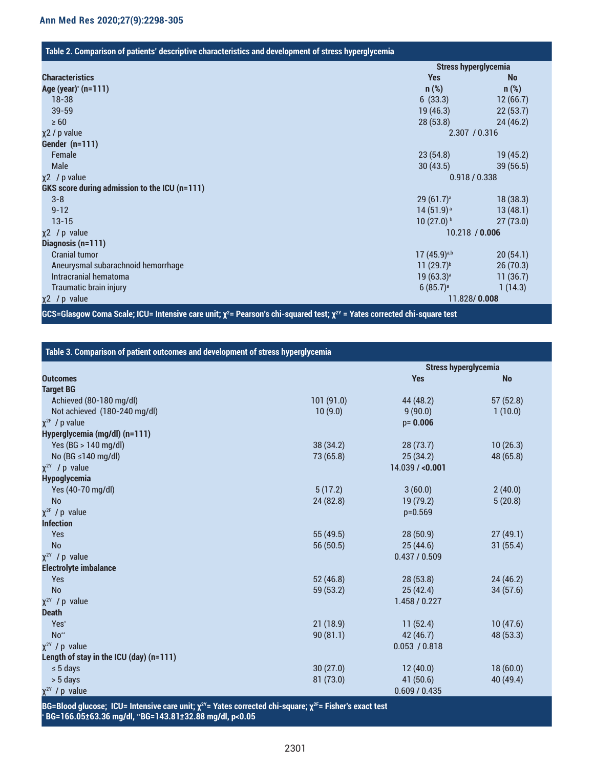## **Table 2. Comparison of patients' descriptive characteristics and development of stress hyperglycemia**

|                                               | <b>Stress hyperglycemia</b> |                |  |
|-----------------------------------------------|-----------------------------|----------------|--|
| <b>Characteristics</b>                        | <b>Yes</b>                  | <b>No</b>      |  |
| Age (year) <sup>*</sup> (n=111)               | $n$ (%)                     | $n$ (%)        |  |
| $18 - 38$                                     | 6(33.3)                     | 12(66.7)       |  |
| $39 - 59$                                     | 19(46.3)                    | 22(53.7)       |  |
| $\geq 60$                                     | 28(53.8)                    | 24(46.2)       |  |
| χ2 / p value                                  | 2.307 / 0.316               |                |  |
| Gender (n=111)                                |                             |                |  |
| Female                                        | 23(54.8)                    | 19(45.2)       |  |
| Male                                          | 30(43.5)                    | 39(56.5)       |  |
| $x^2$ / p value                               |                             | 0.918 / 0.338  |  |
| GKS score during admission to the ICU (n=111) |                             |                |  |
| $3 - 8$                                       | 29(61.7) <sup>a</sup>       | 18(38.3)       |  |
| $9 - 12$                                      | $14(51.9)^a$                | 13(48.1)       |  |
| $13 - 15$                                     | $10(27.0)^{b}$              | 27(73.0)       |  |
| $x^2$ / p value                               |                             | 10.218 / 0.006 |  |
| Diagnosis (n=111)                             |                             |                |  |
| <b>Cranial tumor</b>                          | $17(45.9)^{a,b}$            | 20(54.1)       |  |
| Aneurysmal subarachnoid hemorrhage            | $11 (29.7)^{b}$             | 26(70.3)       |  |
| Intracranial hematoma                         | $19(63.3)^a$                | 11(36.7)       |  |
| Traumatic brain injury                        | 6(85.7) <sup>a</sup>        | 1(14.3)        |  |
| χ2 / p value                                  | 11.828/0.008                |                |  |

**GCS=Glasgow Coma Scale; ICU= Intensive care unit; χ<sup>2</sup> = Pearson's chi-squared test; χ2Y = Yates corrected chi-square test**

| Table 3. Comparison of patient outcomes and development of stress hyperglycemia |           |                             |           |  |  |
|---------------------------------------------------------------------------------|-----------|-----------------------------|-----------|--|--|
|                                                                                 |           | <b>Stress hyperglycemia</b> |           |  |  |
| <b>Outcomes</b>                                                                 |           | <b>Yes</b>                  | <b>No</b> |  |  |
| <b>Target BG</b>                                                                |           |                             |           |  |  |
| Achieved (80-180 mg/dl)                                                         | 101(91.0) | 44 (48.2)                   | 57(52.8)  |  |  |
| Not achieved (180-240 mg/dl)                                                    | 10(9.0)   | 9(90.0)                     | 1(10.0)   |  |  |
| $\chi^{2F}$ / p value                                                           |           | $p = 0.006$                 |           |  |  |
| Hyperglycemia (mg/dl) (n=111)                                                   |           |                             |           |  |  |
| Yes (BG > 140 mg/dl)                                                            | 38 (34.2) | 28(73.7)                    | 10(26.3)  |  |  |
| No (BG $\leq$ 140 mg/dl)                                                        | 73 (65.8) | 25(34.2)                    | 48 (65.8) |  |  |
| $\chi^{2Y}$ / p value                                                           |           | 14.039 / <b>0.001</b>       |           |  |  |
| <b>Hypoglycemia</b>                                                             |           |                             |           |  |  |
| Yes (40-70 mg/dl)                                                               | 5(17.2)   | 3(60.0)                     | 2(40.0)   |  |  |
| <b>No</b>                                                                       | 24 (82.8) | 19 (79.2)                   | 5(20.8)   |  |  |
| $X^{2F}$ / p value                                                              |           | $p=0.569$                   |           |  |  |
| <b>Infection</b>                                                                |           |                             |           |  |  |
| Yes                                                                             | 55 (49.5) | 28(50.9)                    | 27(49.1)  |  |  |
| <b>No</b>                                                                       | 56 (50.5) | 25(44.6)                    | 31(55.4)  |  |  |
| $\chi^{2Y}$ / p value                                                           |           | 0.437/0.509                 |           |  |  |
| <b>Electrolyte imbalance</b>                                                    |           |                             |           |  |  |
| Yes                                                                             | 52(46.8)  | 28(53.8)                    | 24(46.2)  |  |  |
| <b>No</b>                                                                       | 59 (53.2) | 25(42.4)                    | 34(57.6)  |  |  |
| $\chi^{2Y}$ / p value                                                           |           | 1.458 / 0.227               |           |  |  |
| <b>Death</b>                                                                    |           |                             |           |  |  |
| Yes*                                                                            | 21(18.9)  | 11(52.4)                    | 10(47.6)  |  |  |
| $No**$                                                                          | 90(81.1)  | 42 (46.7)                   | 48 (53.3) |  |  |
| $\chi^{2Y}$ / p value                                                           |           | 0.053 / 0.818               |           |  |  |
| Length of stay in the ICU (day) (n=111)                                         |           |                             |           |  |  |
| $\leq 5$ days                                                                   | 30(27.0)  | 12(40.0)                    | 18(60.0)  |  |  |
| > 5 days                                                                        | 81(73.0)  | 41(50.6)                    | 40 (49.4) |  |  |
| $\chi^{2Y}$ / p value                                                           |           | 0.609 / 0.435               |           |  |  |

**BG=Blood glucose; ICU= Intensive care unit; χ2Y= Yates corrected chi-square; χ2F= Fisher's exact test \* BG=166.05±63.36 mg/dl, \*\*BG=143.81±32.88 mg/dl, p<0.05**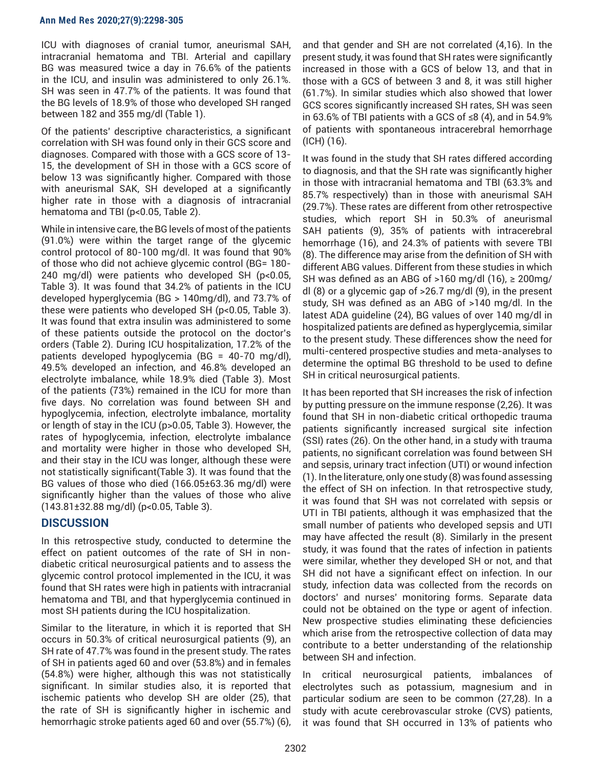ICU with diagnoses of cranial tumor, aneurismal SAH, intracranial hematoma and TBI. Arterial and capillary BG was measured twice a day in 76.6% of the patients in the ICU, and insulin was administered to only 26.1%. SH was seen in 47.7% of the patients. It was found that the BG levels of 18.9% of those who developed SH ranged between 182 and 355 mg/dl (Table 1).

Of the patients' descriptive characteristics, a significant correlation with SH was found only in their GCS score and diagnoses. Compared with those with a GCS score of 13- 15, the development of SH in those with a GCS score of below 13 was significantly higher. Compared with those with aneurismal SAK, SH developed at a significantly higher rate in those with a diagnosis of intracranial hematoma and TBI (p<0.05, Table 2).

While in intensive care, the BG levels of most of the patients (91.0%) were within the target range of the glycemic control protocol of 80-100 mg/dl. It was found that 90% of those who did not achieve glycemic control (BG= 180- 240 mg/dl) were patients who developed SH (p<0.05, Table 3). It was found that 34.2% of patients in the ICU developed hyperglycemia (BG > 140mg/dl), and 73.7% of these were patients who developed SH (p<0.05, Table 3). It was found that extra insulin was administered to some of these patients outside the protocol on the doctor's orders (Table 2). During ICU hospitalization, 17.2% of the patients developed hypoglycemia (BG = 40-70 mg/dl), 49.5% developed an infection, and 46.8% developed an electrolyte imbalance, while 18.9% died (Table 3). Most of the patients (73%) remained in the ICU for more than five days. No correlation was found between SH and hypoglycemia, infection, electrolyte imbalance, mortality or length of stay in the ICU (p>0.05, Table 3). However, the rates of hypoglycemia, infection, electrolyte imbalance and mortality were higher in those who developed SH, and their stay in the ICU was longer, although these were not statistically significant(Table 3). It was found that the BG values of those who died (166.05±63.36 mg/dl) were significantly higher than the values of those who alive (143.81±32.88 mg/dl) (p<0.05, Table 3).

# **DISCUSSION**

In this retrospective study, conducted to determine the effect on patient outcomes of the rate of SH in nondiabetic critical neurosurgical patients and to assess the glycemic control protocol implemented in the ICU, it was found that SH rates were high in patients with intracranial hematoma and TBI, and that hyperglycemia continued in most SH patients during the ICU hospitalization.

Similar to the literature, in which it is reported that SH occurs in 50.3% of critical neurosurgical patients (9), an SH rate of 47.7% was found in the present study. The rates of SH in patients aged 60 and over (53.8%) and in females (54.8%) were higher, although this was not statistically significant. In similar studies also, it is reported that ischemic patients who develop SH are older (25), that the rate of SH is significantly higher in ischemic and hemorrhagic stroke patients aged 60 and over (55.7%) (6),

and that gender and SH are not correlated (4,16). In the present study, it was found that SH rates were significantly increased in those with a GCS of below 13, and that in those with a GCS of between 3 and 8, it was still higher (61.7%). In similar studies which also showed that lower GCS scores significantly increased SH rates, SH was seen in 63.6% of TBI patients with a GCS of ≤8 (4), and in 54.9% of patients with spontaneous intracerebral hemorrhage (ICH) (16).

It was found in the study that SH rates differed according to diagnosis, and that the SH rate was significantly higher in those with intracranial hematoma and TBI (63.3% and 85.7% respectively) than in those with aneurismal SAH (29.7%). These rates are different from other retrospective studies, which report SH in 50.3% of aneurismal SAH patients (9), 35% of patients with intracerebral hemorrhage (16), and 24.3% of patients with severe TBI (8). The difference may arise from the definition of SH with different ABG values. Different from these studies in which SH was defined as an ABG of >160 mg/dl  $(16)$ ,  $\geq$  200mg/ dl (8) or a glycemic gap of >26.7 mg/dl (9), in the present study, SH was defined as an ABG of >140 mg/dl. In the latest ADA guideline (24), BG values of over 140 mg/dl in hospitalized patients are defined as hyperglycemia, similar to the present study. These differences show the need for multi-centered prospective studies and meta-analyses to determine the optimal BG threshold to be used to define SH in critical neurosurgical patients.

It has been reported that SH increases the risk of infection by putting pressure on the immune response (2,26). It was found that SH in non-diabetic critical orthopedic trauma patients significantly increased surgical site infection (SSI) rates (26). On the other hand, in a study with trauma patients, no significant correlation was found between SH and sepsis, urinary tract infection (UTI) or wound infection (1). In the literature, only one study (8) was found assessing the effect of SH on infection. In that retrospective study, it was found that SH was not correlated with sepsis or UTI in TBI patients, although it was emphasized that the small number of patients who developed sepsis and UTI may have affected the result (8). Similarly in the present study, it was found that the rates of infection in patients were similar, whether they developed SH or not, and that SH did not have a significant effect on infection. In our study, infection data was collected from the records on doctors' and nurses' monitoring forms. Separate data could not be obtained on the type or agent of infection. New prospective studies eliminating these deficiencies which arise from the retrospective collection of data may contribute to a better understanding of the relationship between SH and infection.

In critical neurosurgical patients, imbalances of electrolytes such as potassium, magnesium and in particular sodium are seen to be common (27,28). In a study with acute cerebrovascular stroke (CVS) patients, it was found that SH occurred in 13% of patients who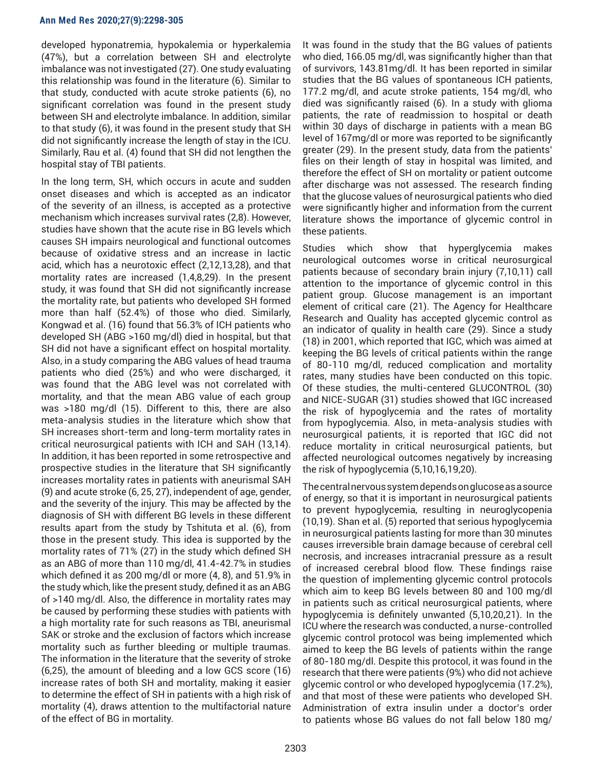developed hyponatremia, hypokalemia or hyperkalemia (47%), but a correlation between SH and electrolyte imbalance was not investigated (27). One study evaluating this relationship was found in the literature (6). Similar to that study, conducted with acute stroke patients (6), no significant correlation was found in the present study between SH and electrolyte imbalance. In addition, similar to that study (6), it was found in the present study that SH did not significantly increase the length of stay in the ICU. Similarly, Rau et al. (4) found that SH did not lengthen the hospital stay of TBI patients.

In the long term, SH, which occurs in acute and sudden onset diseases and which is accepted as an indicator of the severity of an illness, is accepted as a protective mechanism which increases survival rates (2,8). However, studies have shown that the acute rise in BG levels which causes SH impairs neurological and functional outcomes because of oxidative stress and an increase in lactic acid, which has a neurotoxic effect (2,12,13,28), and that mortality rates are increased (1,4,8,29). In the present study, it was found that SH did not significantly increase the mortality rate, but patients who developed SH formed more than half (52.4%) of those who died. Similarly, Kongwad et al. (16) found that 56.3% of ICH patients who developed SH (ABG >160 mg/dl) died in hospital, but that SH did not have a significant effect on hospital mortality. Also, in a study comparing the ABG values of head trauma patients who died (25%) and who were discharged, it was found that the ABG level was not correlated with mortality, and that the mean ABG value of each group was >180 mg/dl (15). Different to this, there are also meta-analysis studies in the literature which show that SH increases short-term and long-term mortality rates in critical neurosurgical patients with ICH and SAH (13,14). In addition, it has been reported in some retrospective and prospective studies in the literature that SH significantly increases mortality rates in patients with aneurismal SAH (9) and acute stroke (6, 25, 27), independent of age, gender, and the severity of the injury. This may be affected by the diagnosis of SH with different BG levels in these different results apart from the study by Tshituta et al. (6), from those in the present study. This idea is supported by the mortality rates of 71% (27) in the study which defined SH as an ABG of more than 110 mg/dl, 41.4-42.7% in studies which defined it as 200 mg/dl or more (4, 8), and 51.9% in the study which, like the present study, defined it as an ABG of >140 mg/dl. Also, the difference in mortality rates may be caused by performing these studies with patients with a high mortality rate for such reasons as TBI, aneurismal SAK or stroke and the exclusion of factors which increase mortality such as further bleeding or multiple traumas. The information in the literature that the severity of stroke (6,25), the amount of bleeding and a low GCS score (16) increase rates of both SH and mortality, making it easier to determine the effect of SH in patients with a high risk of mortality (4), draws attention to the multifactorial nature of the effect of BG in mortality.

It was found in the study that the BG values of patients who died, 166.05 mg/dl, was significantly higher than that of survivors, 143.81mg/dl. It has been reported in similar studies that the BG values of spontaneous ICH patients, 177.2 mg/dl, and acute stroke patients, 154 mg/dl, who died was significantly raised (6). In a study with glioma patients, the rate of readmission to hospital or death within 30 days of discharge in patients with a mean BG level of 167mg/dl or more was reported to be significantly greater (29). In the present study, data from the patients' files on their length of stay in hospital was limited, and therefore the effect of SH on mortality or patient outcome after discharge was not assessed. The research finding that the glucose values of neurosurgical patients who died were significantly higher and information from the current literature shows the importance of glycemic control in these patients.

Studies which show that hyperglycemia makes neurological outcomes worse in critical neurosurgical patients because of secondary brain injury (7,10,11) call attention to the importance of glycemic control in this patient group. Glucose management is an important element of critical care (21). The Agency for Healthcare Research and Quality has accepted glycemic control as an indicator of quality in health care (29). Since a study (18) in 2001, which reported that IGC, which was aimed at keeping the BG levels of critical patients within the range of 80-110 mg/dl, reduced complication and mortality rates, many studies have been conducted on this topic. Of these studies, the multi-centered GLUCONTROL (30) and NICE-SUGAR (31) studies showed that IGC increased the risk of hypoglycemia and the rates of mortality from hypoglycemia. Also, in meta-analysis studies with neurosurgical patients, it is reported that IGC did not reduce mortality in critical neurosurgical patients, but affected neurological outcomes negatively by increasing the risk of hypoglycemia (5,10,16,19,20).

The central nervous system depends on glucose as a source of energy, so that it is important in neurosurgical patients to prevent hypoglycemia, resulting in neuroglycopenia (10,19). Shan et al. (5) reported that serious hypoglycemia in neurosurgical patients lasting for more than 30 minutes causes irreversible brain damage because of cerebral cell necrosis, and increases intracranial pressure as a result of increased cerebral blood flow. These findings raise the question of implementing glycemic control protocols which aim to keep BG levels between 80 and 100 mg/dl in patients such as critical neurosurgical patients, where hypoglycemia is definitely unwanted (5,10,20,21). In the ICU where the research was conducted, a nurse-controlled glycemic control protocol was being implemented which aimed to keep the BG levels of patients within the range of 80-180 mg/dl. Despite this protocol, it was found in the research that there were patients (9%) who did not achieve glycemic control or who developed hypoglycemia (17.2%), and that most of these were patients who developed SH. Administration of extra insulin under a doctor's order to patients whose BG values do not fall below 180 mg/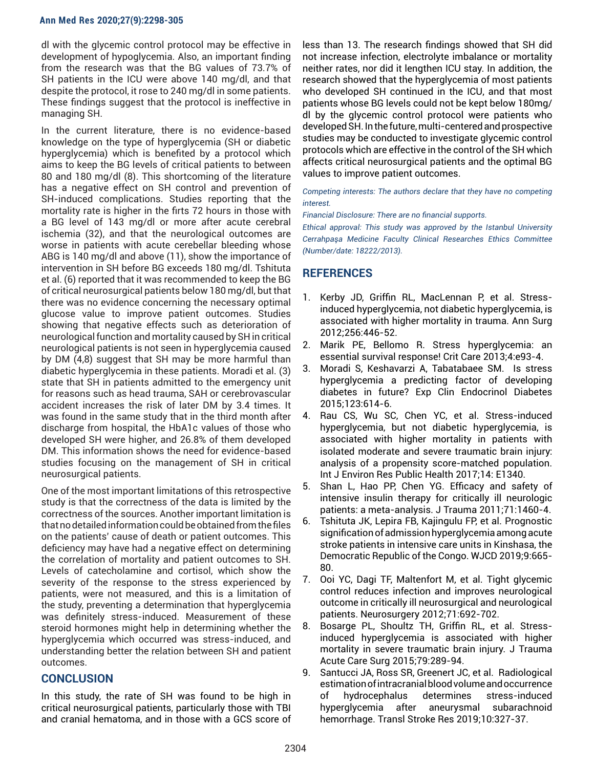dl with the glycemic control protocol may be effective in development of hypoglycemia. Also, an important finding from the research was that the BG values of 73.7% of SH patients in the ICU were above 140 mg/dl, and that despite the protocol, it rose to 240 mg/dl in some patients. These findings suggest that the protocol is ineffective in managing SH.

In the current literature, there is no evidence-based knowledge on the type of hyperglycemia (SH or diabetic hyperglycemia) which is benefited by a protocol which aims to keep the BG levels of critical patients to between 80 and 180 mg/dl (8). This shortcoming of the literature has a negative effect on SH control and prevention of SH-induced complications. Studies reporting that the mortality rate is higher in the firts 72 hours in those with a BG level of 143 mg/dl or more after acute cerebral ischemia (32), and that the neurological outcomes are worse in patients with acute cerebellar bleeding whose ABG is 140 mg/dl and above (11), show the importance of intervention in SH before BG exceeds 180 mg/dl. Tshituta et al. (6) reported that it was recommended to keep the BG of critical neurosurgical patients below 180 mg/dl, but that there was no evidence concerning the necessary optimal glucose value to improve patient outcomes. Studies showing that negative effects such as deterioration of neurological function and mortality caused by SH in critical neurological patients is not seen in hyperglycemia caused by DM (4,8) suggest that SH may be more harmful than diabetic hyperglycemia in these patients. Moradi et al. (3) state that SH in patients admitted to the emergency unit for reasons such as head trauma, SAH or cerebrovascular accident increases the risk of later DM by 3.4 times. It was found in the same study that in the third month after discharge from hospital, the HbA1c values of those who developed SH were higher, and 26.8% of them developed DM. This information shows the need for evidence-based studies focusing on the management of SH in critical neurosurgical patients.

One of the most important limitations of this retrospective study is that the correctness of the data is limited by the correctness of the sources. Another important limitation is that no detailed information could be obtained from the files on the patients' cause of death or patient outcomes. This deficiency may have had a negative effect on determining the correlation of mortality and patient outcomes to SH. Levels of catecholamine and cortisol, which show the severity of the response to the stress experienced by patients, were not measured, and this is a limitation of the study, preventing a determination that hyperglycemia was definitely stress-induced. Measurement of these steroid hormones might help in determining whether the hyperglycemia which occurred was stress-induced, and understanding better the relation between SH and patient outcomes.

# **CONCLUSION**

In this study, the rate of SH was found to be high in critical neurosurgical patients, particularly those with TBI and cranial hematoma, and in those with a GCS score of less than 13. The research findings showed that SH did not increase infection, electrolyte imbalance or mortality neither rates, nor did it lengthen ICU stay. In addition, the research showed that the hyperglycemia of most patients who developed SH continued in the ICU, and that most patients whose BG levels could not be kept below 180mg/ dl by the glycemic control protocol were patients who developed SH. In the future, multi-centered and prospective studies may be conducted to investigate glycemic control protocols which are effective in the control of the SH which affects critical neurosurgical patients and the optimal BG values to improve patient outcomes.

#### *Competing interests: The authors declare that they have no competing interest.*

*Financial Disclosure: There are no financial supports.*

*Ethical approval: This study was approved by the Istanbul University Cerrahpaşa Medicine Faculty Clinical Researches Ethics Committee (Number/date: 18222/2013).* 

# **REFERENCES**

- 1. Kerby JD, Griffin RL, MacLennan P, et al. Stressinduced hyperglycemia, not diabetic hyperglycemia, is associated with higher mortality in trauma. Ann Surg 2012;256:446-52.
- 2. Marik PE, Bellomo R. Stress hyperglycemia: an essential survival response! Crit Care 2013;4:e93-4.
- 3. Moradi S, Keshavarzi A, Tabatabaee SM. Is stress hyperglycemia a predicting factor of developing diabetes in future? Exp Clin Endocrinol Diabetes 2015;123:614-6.
- 4. Rau CS, Wu SC, Chen YC, et al. Stress-induced hyperglycemia, but not diabetic hyperglycemia, is associated with higher mortality in patients with isolated moderate and severe traumatic brain injury: analysis of a propensity score-matched population. Int J Environ Res Public Health 2017;14: E1340.
- 5. Shan L, Hao PP, Chen YG. Efficacy and safety of intensive insulin therapy for critically ill neurologic patients: a meta-analysis. J Trauma 2011;71:1460-4.
- 6. Tshituta JK, Lepira FB, Kajingulu FP, et al. Prognostic signification of admission hyperglycemia among acute stroke patients in intensive care units in Kinshasa, the Democratic Republic of the Congo. WJCD 2019;9:665- 80.
- 7. Ooi YC, Dagi TF, Maltenfort M, et al. Tight glycemic control reduces infection and improves neurological outcome in critically ill neurosurgical and neurological patients. Neurosurgery 2012;71:692-702.
- 8. Bosarge PL, Shoultz TH, Griffin RL, et al. Stressinduced hyperglycemia is associated with higher mortality in severe traumatic brain injury. J Trauma Acute Care Surg 2015;79:289-94.
- 9. Santucci JA, Ross SR, Greenert JC, et al. Radiological estimation of intracranial blood volume and occurrence of hydrocephalus determines stress-induced hyperglycemia after aneurysmal subarachnoid hemorrhage. Transl Stroke Res 2019;10:327-37.